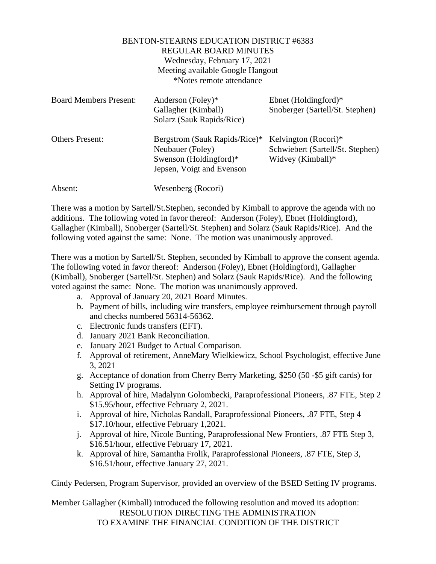## BENTON-STEARNS EDUCATION DISTRICT #6383 REGULAR BOARD MINUTES Wednesday, February 17, 2021 Meeting available Google Hangout \*Notes remote attendance

| <b>Board Members Present:</b> | Anderson (Foley)*<br>Gallagher (Kimball)<br>Solarz (Sauk Rapids/Rice)                                    | Ebnet (Holdingford) $*$<br>Snoberger (Sartell/St. Stephen)                    |
|-------------------------------|----------------------------------------------------------------------------------------------------------|-------------------------------------------------------------------------------|
| <b>Others Present:</b>        | Bergstrom (Sauk Rapids/Rice)*<br>Neubauer (Foley)<br>Swenson (Holdingford)*<br>Jepsen, Voigt and Evenson | Kelvington (Rocori)*<br>Schwiebert (Sartell/St. Stephen)<br>Widvey (Kimball)* |
| Absent:                       | Wesenberg (Rocori)                                                                                       |                                                                               |

There was a motion by Sartell/St.Stephen, seconded by Kimball to approve the agenda with no additions. The following voted in favor thereof: Anderson (Foley), Ebnet (Holdingford), Gallagher (Kimball), Snoberger (Sartell/St. Stephen) and Solarz (Sauk Rapids/Rice). And the following voted against the same: None. The motion was unanimously approved.

There was a motion by Sartell/St. Stephen, seconded by Kimball to approve the consent agenda. The following voted in favor thereof: Anderson (Foley), Ebnet (Holdingford), Gallagher (Kimball), Snoberger (Sartell/St. Stephen) and Solarz (Sauk Rapids/Rice). And the following voted against the same: None. The motion was unanimously approved.

- a. Approval of January 20, 2021 Board Minutes.
- b. Payment of bills, including wire transfers, employee reimbursement through payroll and checks numbered 56314-56362.
- c. Electronic funds transfers (EFT).
- d. January 2021 Bank Reconciliation.
- e. January 2021 Budget to Actual Comparison.
- f. Approval of retirement, AnneMary Wielkiewicz, School Psychologist, effective June 3, 2021
- g. Acceptance of donation from Cherry Berry Marketing, \$250 (50 -\$5 gift cards) for Setting IV programs.
- h. Approval of hire, Madalynn Golombecki, Paraprofessional Pioneers, .87 FTE, Step 2 \$15.95/hour, effective February 2, 2021.
- i. Approval of hire, Nicholas Randall, Paraprofessional Pioneers, .87 FTE, Step 4 \$17.10/hour, effective February 1,2021.
- j. Approval of hire, Nicole Bunting, Paraprofessional New Frontiers, .87 FTE Step 3, \$16.51/hour, effective February 17, 2021.
- k. Approval of hire, Samantha Frolik, Paraprofessional Pioneers, .87 FTE, Step 3, \$16.51/hour, effective January 27, 2021.

Cindy Pedersen, Program Supervisor, provided an overview of the BSED Setting IV programs.

Member Gallagher (Kimball) introduced the following resolution and moved its adoption: RESOLUTION DIRECTING THE ADMINISTRATION TO EXAMINE THE FINANCIAL CONDITION OF THE DISTRICT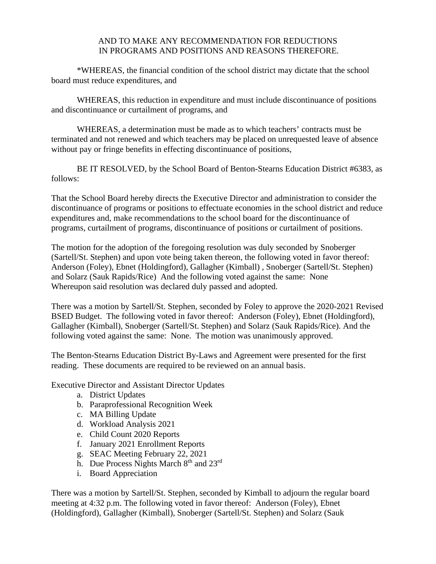## AND TO MAKE ANY RECOMMENDATION FOR REDUCTIONS IN PROGRAMS AND POSITIONS AND REASONS THEREFORE.

\*WHEREAS, the financial condition of the school district may dictate that the school board must reduce expenditures, and

WHEREAS, this reduction in expenditure and must include discontinuance of positions and discontinuance or curtailment of programs, and

WHEREAS, a determination must be made as to which teachers' contracts must be terminated and not renewed and which teachers may be placed on unrequested leave of absence without pay or fringe benefits in effecting discontinuance of positions,

BE IT RESOLVED, by the School Board of Benton-Stearns Education District #6383, as follows:

That the School Board hereby directs the Executive Director and administration to consider the discontinuance of programs or positions to effectuate economies in the school district and reduce expenditures and, make recommendations to the school board for the discontinuance of programs, curtailment of programs, discontinuance of positions or curtailment of positions.

The motion for the adoption of the foregoing resolution was duly seconded by Snoberger (Sartell/St. Stephen) and upon vote being taken thereon, the following voted in favor thereof: Anderson (Foley), Ebnet (Holdingford), Gallagher (Kimball) , Snoberger (Sartell/St. Stephen) and Solarz (Sauk Rapids/Rice) And the following voted against the same: None Whereupon said resolution was declared duly passed and adopted.

There was a motion by Sartell/St. Stephen, seconded by Foley to approve the 2020-2021 Revised BSED Budget. The following voted in favor thereof: Anderson (Foley), Ebnet (Holdingford), Gallagher (Kimball), Snoberger (Sartell/St. Stephen) and Solarz (Sauk Rapids/Rice). And the following voted against the same: None. The motion was unanimously approved.

The Benton-Stearns Education District By-Laws and Agreement were presented for the first reading. These documents are required to be reviewed on an annual basis.

Executive Director and Assistant Director Updates

- a. District Updates
- b. Paraprofessional Recognition Week
- c. MA Billing Update
- d. Workload Analysis 2021
- e. Child Count 2020 Reports
- f. January 2021 Enrollment Reports
- g. SEAC Meeting February 22, 2021
- h. Due Process Nights March 8<sup>th</sup> and 23<sup>rd</sup>
- i. Board Appreciation

There was a motion by Sartell/St. Stephen, seconded by Kimball to adjourn the regular board meeting at 4:32 p.m. The following voted in favor thereof: Anderson (Foley), Ebnet (Holdingford), Gallagher (Kimball), Snoberger (Sartell/St. Stephen) and Solarz (Sauk